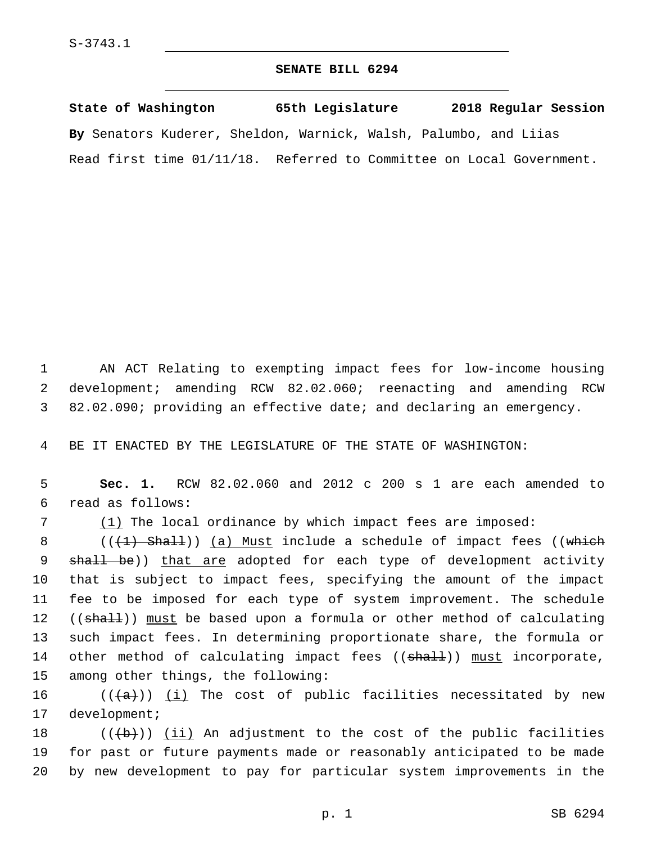## **SENATE BILL 6294**

**State of Washington 65th Legislature 2018 Regular Session By** Senators Kuderer, Sheldon, Warnick, Walsh, Palumbo, and Liias Read first time 01/11/18. Referred to Committee on Local Government.

1 AN ACT Relating to exempting impact fees for low-income housing 2 development; amending RCW 82.02.060; reenacting and amending RCW 3 82.02.090; providing an effective date; and declaring an emergency.

4 BE IT ENACTED BY THE LEGISLATURE OF THE STATE OF WASHINGTON:

5 **Sec. 1.** RCW 82.02.060 and 2012 c 200 s 1 are each amended to read as follows:6

7 (1) The local ordinance by which impact fees are imposed:

8 (((1) Shall)) (a) Must include a schedule of impact fees ((which 9 shall be)) that are adopted for each type of development activity 10 that is subject to impact fees, specifying the amount of the impact 11 fee to be imposed for each type of system improvement. The schedule 12 ((shall)) must be based upon a formula or other method of calculating 13 such impact fees. In determining proportionate share, the formula or 14 other method of calculating impact fees ((shall)) must incorporate, 15 among other things, the following:

16  $((+a))$  <u>(i)</u> The cost of public facilities necessitated by new 17 development;

18  $((\{b\})$  (ii) An adjustment to the cost of the public facilities 19 for past or future payments made or reasonably anticipated to be made 20 by new development to pay for particular system improvements in the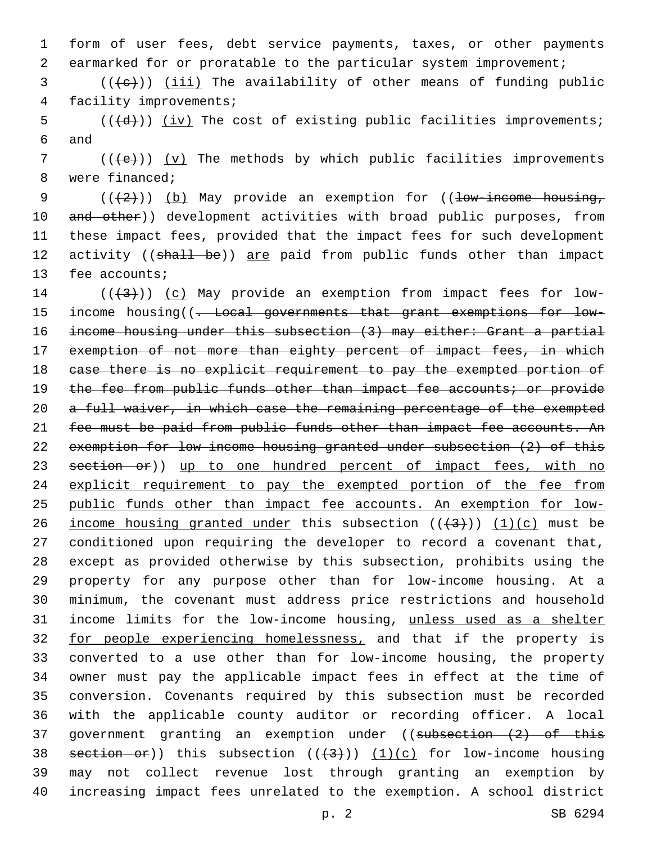1 form of user fees, debt service payments, taxes, or other payments 2 earmarked for or proratable to the particular system improvement;

 $3$  (( $\left(\frac{1}{1} \text{ i} \text{ i}\right)$ ) (iii) The availability of other means of funding public 4 facility improvements;

 $5$  (( $\overline{(d)}}$ )) (iv) The cost of existing public facilities improvements; 6 and

 $7$  (( $\left(\frac{1}{e}\right)$ ) (v) The methods by which public facilities improvements 8 were financed;

9  $((+2))$   $(b)$  May provide an exemption for ((low-income housing, 10 and other)) development activities with broad public purposes, from 11 these impact fees, provided that the impact fees for such development 12 activity ((shall be)) are paid from public funds other than impact 13 fee accounts;

 $((+3+))$   $(c)$  May provide an exemption from impact fees for low-15 income housing((- Local governments that grant exemptions for low- income housing under this subsection (3) may either: Grant a partial exemption of not more than eighty percent of impact fees, in which case there is no explicit requirement to pay the exempted portion of 19 the fee from public funds other than impact fee accounts; or provide 20 a full waiver, in which case the remaining percentage of the exempted 21 fee must be paid from public funds other than impact fee accounts. An exemption for low-income housing granted under subsection (2) of this 23 section or)) up to one hundred percent of impact fees, with no 24 explicit requirement to pay the exempted portion of the fee from public funds other than impact fee accounts. An exemption for low-26 income housing granted under this subsection  $((+3))$   $(1)(c)$  must be conditioned upon requiring the developer to record a covenant that, except as provided otherwise by this subsection, prohibits using the property for any purpose other than for low-income housing. At a minimum, the covenant must address price restrictions and household income limits for the low-income housing, unless used as a shelter 32 for people experiencing homelessness, and that if the property is converted to a use other than for low-income housing, the property owner must pay the applicable impact fees in effect at the time of conversion. Covenants required by this subsection must be recorded with the applicable county auditor or recording officer. A local 37 government granting an exemption under ((subsection (2) of this 38 section or)) this subsection  $((+3))$   $(1)(c)$  for low-income housing may not collect revenue lost through granting an exemption by increasing impact fees unrelated to the exemption. A school district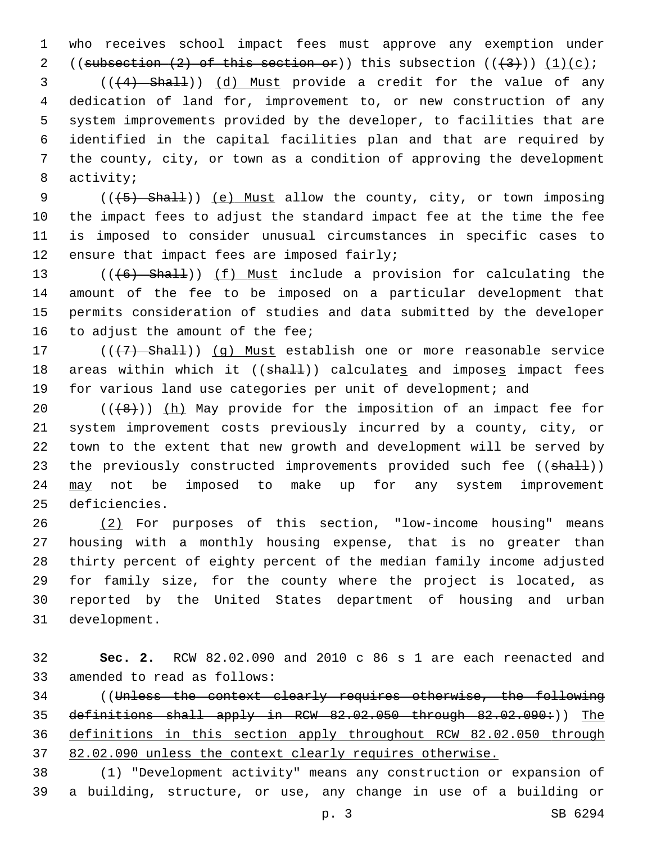1 who receives school impact fees must approve any exemption under 2 ((subsection  $(2)$  of this section or)) this subsection  $((3+))$   $(1)(c)$ ;

 (((4) Shall)) (d) Must provide a credit for the value of any dedication of land for, improvement to, or new construction of any system improvements provided by the developer, to facilities that are identified in the capital facilities plan and that are required by the county, city, or town as a condition of approving the development 8 activity;

9 (( $(5)$  Shall)) (e) Must allow the county, city, or town imposing 10 the impact fees to adjust the standard impact fee at the time the fee 11 is imposed to consider unusual circumstances in specific cases to 12 ensure that impact fees are imposed fairly;

13 (((6) Shall)) (f) Must include a provision for calculating the 14 amount of the fee to be imposed on a particular development that 15 permits consideration of studies and data submitted by the developer 16 to adjust the amount of the fee;

17 (((+7) Shall)) (g) Must establish one or more reasonable service 18 areas within which it  $((sha1))$  calculates and imposes impact fees 19 for various land use categories per unit of development; and

20  $((+8))$  (h) May provide for the imposition of an impact fee for 21 system improvement costs previously incurred by a county, city, or 22 town to the extent that new growth and development will be served by 23 the previously constructed improvements provided such fee ((shall)) 24 may not be imposed to make up for any system improvement 25 deficiencies.

 (2) For purposes of this section, "low-income housing" means housing with a monthly housing expense, that is no greater than thirty percent of eighty percent of the median family income adjusted for family size, for the county where the project is located, as reported by the United States department of housing and urban 31 development.

32 **Sec. 2.** RCW 82.02.090 and 2010 c 86 s 1 are each reenacted and 33 amended to read as follows:

 ((Unless the context clearly requires otherwise, the following 35 definitions shall apply in RCW 82.02.050 through 82.02.090:)) The definitions in this section apply throughout RCW 82.02.050 through 82.02.090 unless the context clearly requires otherwise.

38 (1) "Development activity" means any construction or expansion of 39 a building, structure, or use, any change in use of a building or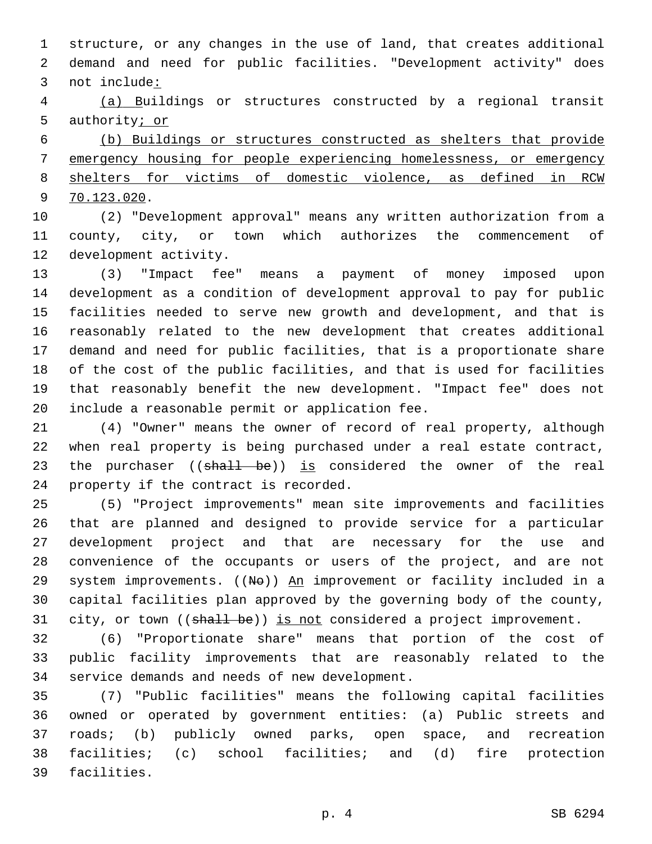structure, or any changes in the use of land, that creates additional demand and need for public facilities. "Development activity" does not include:

 (a) Buildings or structures constructed by a regional transit authority; or

 (b) Buildings or structures constructed as shelters that provide emergency housing for people experiencing homelessness, or emergency shelters for victims of domestic violence, as defined in RCW 70.123.020.9

 (2) "Development approval" means any written authorization from a county, city, or town which authorizes the commencement of 12 development activity.

 (3) "Impact fee" means a payment of money imposed upon development as a condition of development approval to pay for public facilities needed to serve new growth and development, and that is reasonably related to the new development that creates additional demand and need for public facilities, that is a proportionate share of the cost of the public facilities, and that is used for facilities that reasonably benefit the new development. "Impact fee" does not 20 include a reasonable permit or application fee.

 (4) "Owner" means the owner of record of real property, although when real property is being purchased under a real estate contract, 23 the purchaser ((shall be)) is considered the owner of the real 24 property if the contract is recorded.

 (5) "Project improvements" mean site improvements and facilities that are planned and designed to provide service for a particular development project and that are necessary for the use and convenience of the occupants or users of the project, and are not 29 system improvements. ((No)) An improvement or facility included in a capital facilities plan approved by the governing body of the county, 31 city, or town ((shall be)) is not considered a project improvement.

 (6) "Proportionate share" means that portion of the cost of public facility improvements that are reasonably related to the 34 service demands and needs of new development.

 (7) "Public facilities" means the following capital facilities owned or operated by government entities: (a) Public streets and roads; (b) publicly owned parks, open space, and recreation facilities; (c) school facilities; and (d) fire protection 39 facilities.